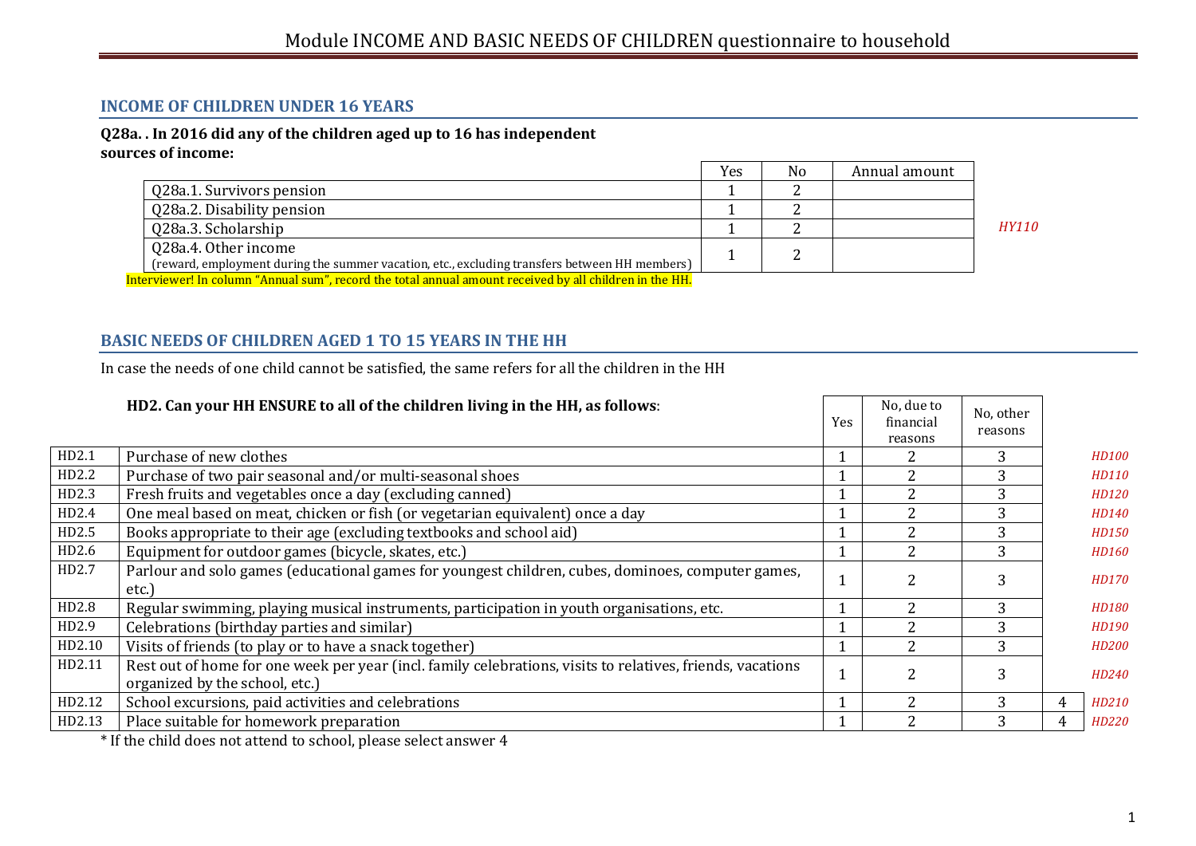## **INCOME OF CHILDREN UNDER 16 YEARS**

#### **Q28a. . In 2016 did any of the children aged up to 16 has independent sources of income:**

|                                                                                                         | Yes | No | Annual amount |              |  |  |
|---------------------------------------------------------------------------------------------------------|-----|----|---------------|--------------|--|--|
| Q28a.1. Survivors pension                                                                               |     |    |               |              |  |  |
| Q28a.2. Disability pension                                                                              |     |    |               |              |  |  |
| Q28a.3. Scholarship                                                                                     |     |    |               | <b>HY110</b> |  |  |
| Q28a.4. Other income                                                                                    |     |    |               |              |  |  |
| (reward, employment during the summer vacation, etc., excluding transfers between HH members)           |     |    |               |              |  |  |
| Interviewer! In column "Annual sum", record the total annual amount received by all children in the HH. |     |    |               |              |  |  |

## **BASIC NEEDS OF CHILDREN AGED 1 TO 15 YEARS IN THE HH**

In case the needs of one child cannot be satisfied, the same refers for all the children in the HH

|        | HD2. Can your HH ENSURE to all of the children living in the HH, as follows:                                                                 | <b>Yes</b> | No, due to<br>financial<br>reasons | No, other<br>reasons |   |              |
|--------|----------------------------------------------------------------------------------------------------------------------------------------------|------------|------------------------------------|----------------------|---|--------------|
| HD2.1  | Purchase of new clothes                                                                                                                      |            |                                    | 3                    |   | HD100        |
| HD2.2  | Purchase of two pair seasonal and/or multi-seasonal shoes                                                                                    |            |                                    | 3                    |   | HD110        |
| HD2.3  | Fresh fruits and vegetables once a day (excluding canned)                                                                                    |            |                                    | 3                    |   | HD120        |
| HD2.4  | One meal based on meat, chicken or fish (or vegetarian equivalent) once a day                                                                |            |                                    | 3                    |   | HD140        |
| HD2.5  | Books appropriate to their age (excluding textbooks and school aid)                                                                          |            |                                    | 3                    |   | HD150        |
| HD2.6  | Equipment for outdoor games (bicycle, skates, etc.)                                                                                          |            |                                    | 3                    |   | HD160        |
| HD2.7  | Parlour and solo games (educational games for youngest children, cubes, dominoes, computer games,<br>etc.)                                   |            |                                    | 3                    |   | HD170        |
| HD2.8  | Regular swimming, playing musical instruments, participation in youth organisations, etc.                                                    |            |                                    | 3                    |   | <b>HD180</b> |
| HD2.9  | Celebrations (birthday parties and similar)                                                                                                  |            |                                    | 3                    |   | HD190        |
| HD2.10 | Visits of friends (to play or to have a snack together)                                                                                      |            |                                    | 3                    |   | HD200        |
| HD2.11 | Rest out of home for one week per year (incl. family celebrations, visits to relatives, friends, vacations<br>organized by the school, etc.) |            |                                    | 3                    |   | HD240        |
| HD2.12 | School excursions, paid activities and celebrations                                                                                          |            | $\mathcal{D}_{\mathcal{L}}$        | 3                    | 4 | HD210        |
| HD2.13 | Place suitable for homework preparation                                                                                                      |            | ∩                                  | 3                    | 4 | HD220        |
|        | $\star$ real terms in the term in the figure of the term in the figure $\star$                                                               |            |                                    |                      |   |              |

\* If the child does not attend to school, please select answer 4